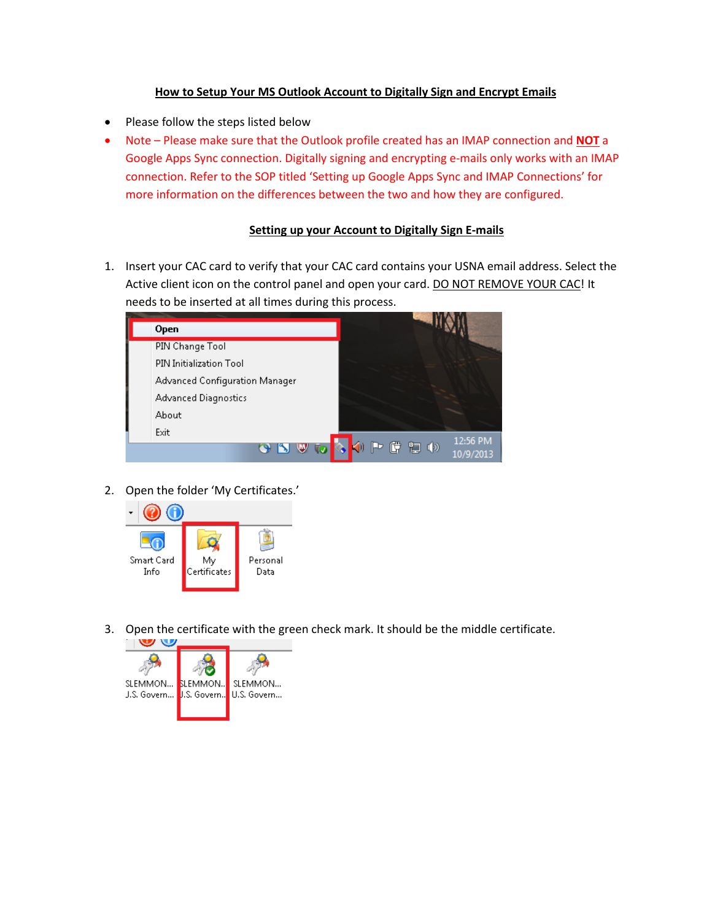## **How to Setup Your MS Outlook Account to Digitally Sign and Encrypt Emails**

- Please follow the steps listed below
- Note Please make sure that the Outlook profile created has an IMAP connection and **NOT** a Google Apps Sync connection. Digitally signing and encrypting e-mails only works with an IMAP connection. Refer to the SOP titled 'Setting up Google Apps Sync and IMAP Connections' for more information on the differences between the two and how they are configured.

## **Setting up your Account to Digitally Sign E-mails**

1. Insert your CAC card to verify that your CAC card contains your USNA email address. Select the Active client icon on the control panel and open your card. DO NOT REMOVE YOUR CAC! It needs to be inserted at all times during this process.



2. Open the folder 'My Certificates.'



3. Open the certificate with the green check mark. It should be the middle certificate.

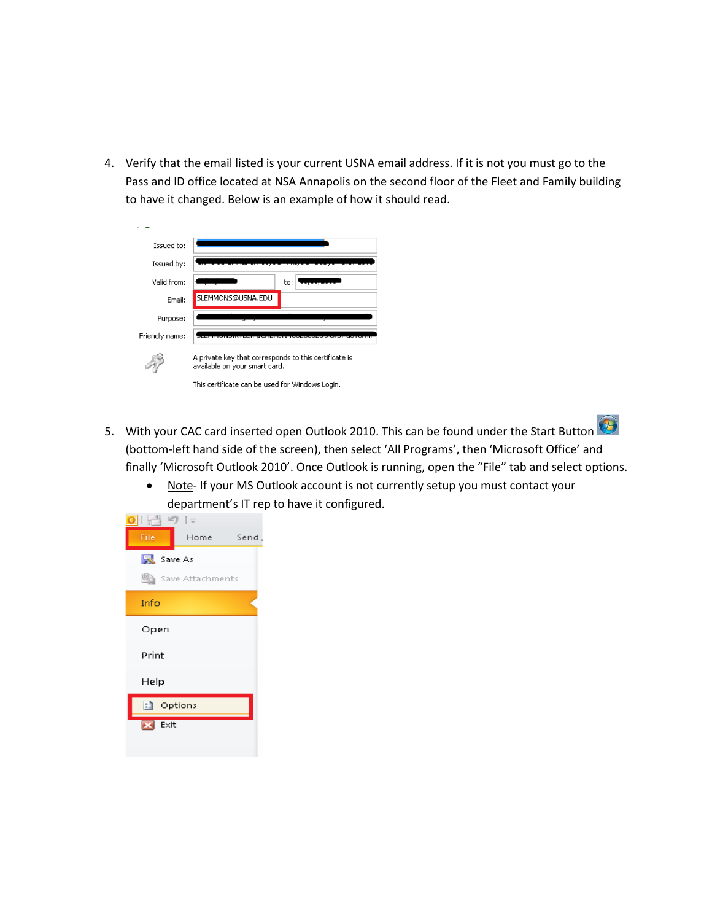4. Verify that the email listed is your current USNA email address. If it is not you must go to the Pass and ID office located at NSA Annapolis on the second floor of the Fleet and Family building to have it changed. Below is an example of how it should read.

| Issued to:     |                                                                                        |  |  |
|----------------|----------------------------------------------------------------------------------------|--|--|
| Issued by:     |                                                                                        |  |  |
| Valid from:    | to:                                                                                    |  |  |
| Email:         | SLEMMONS@USNA.EDU                                                                      |  |  |
| Purpose:       |                                                                                        |  |  |
| Friendly name: |                                                                                        |  |  |
|                | A private key that corresponds to this certificate is<br>available on your smart card. |  |  |
|                | This certificate can be used for Windows Login.                                        |  |  |

- 5. With your CAC card inserted open Outlook 2010. This can be found under the Start Button (bottom-left hand side of the screen), then select 'All Programs', then 'Microsoft Office' and finally 'Microsoft Outlook 2010'. Once Outlook is running, open the "File" tab and select options.
	- Note- If your MS Outlook account is not currently setup you must contact your department's IT rep to have it configured.

| 昏り  。                           |                  |      |
|---------------------------------|------------------|------|
| File                            | Home             | Send |
| <b>N</b> Save As                |                  |      |
|                                 | Save Attachments |      |
| Info                            |                  |      |
| Open                            |                  |      |
| Print                           |                  |      |
| Help                            |                  |      |
| <mark>:3</mark> Options         |                  |      |
| Exit<br>$\overline{\mathbf{z}}$ |                  |      |
|                                 |                  |      |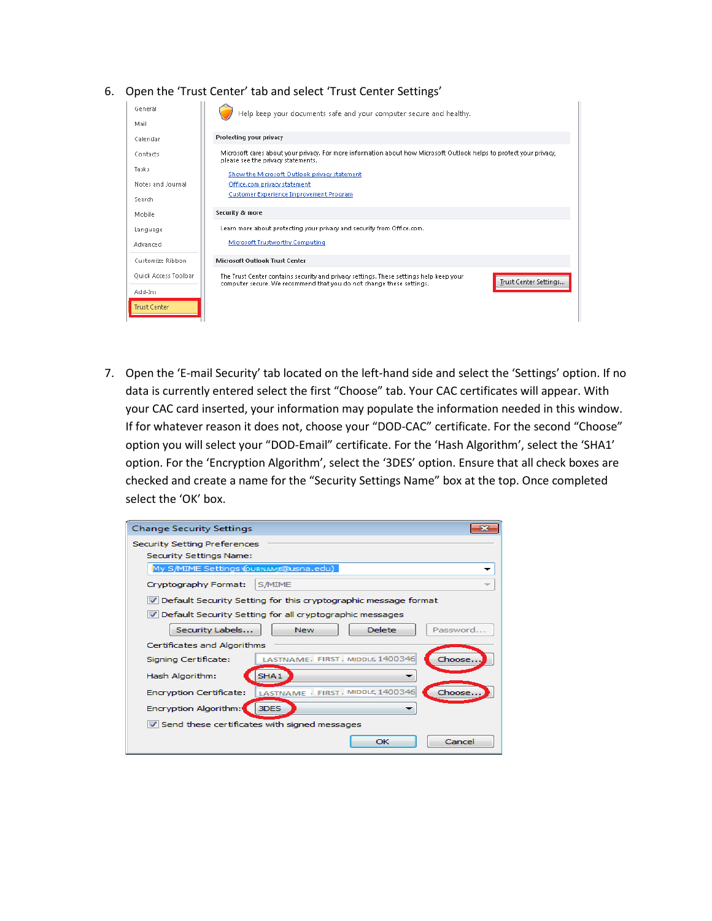## 6. Open the 'Trust Center' tab and select 'Trust Center Settings'

| General              | Help keep your documents safe and your computer secure and healthy.                                                                                                                     |
|----------------------|-----------------------------------------------------------------------------------------------------------------------------------------------------------------------------------------|
| Mail                 |                                                                                                                                                                                         |
| Calendar             | Protecting your privacy                                                                                                                                                                 |
| Contacts             | Microsoft cares about your privacy. For more information about how Microsoft Outlook helps to protect your privacy,<br>please see the privacy statements.                               |
| Tasks                | Show the Microsoft Outlook privacy statement                                                                                                                                            |
| Notes and Journal    | Office.com privacy statement                                                                                                                                                            |
| Search               | <b>Customer Experience Improvement Program</b>                                                                                                                                          |
| Mobile               | Security & more                                                                                                                                                                         |
| Language             | Learn more about protecting your privacy and security from Office.com.                                                                                                                  |
| Advanced             | Microsoft Trustworthy Computing                                                                                                                                                         |
| Customize Ribbon     | <b>Microsoft Outlook Trust Center</b>                                                                                                                                                   |
| Quick Access Toolbar | The Trust Center contains security and privacy settings. These settings help keep your<br>Trust Center Settings<br>computer secure. We recommend that you do not change these settings. |
| Add-Ins              |                                                                                                                                                                                         |
| <b>Trust Center</b>  |                                                                                                                                                                                         |

7. Open the 'E-mail Security' tab located on the left-hand side and select the 'Settings' option. If no data is currently entered select the first "Choose" tab. Your CAC certificates will appear. With your CAC card inserted, your information may populate the information needed in this window. If for whatever reason it does not, choose your "DOD-CAC" certificate. For the second "Choose" option you will select your "DOD-Email" certificate. For the 'Hash Algorithm', select the 'SHA1' option. For the 'Encryption Algorithm', select the '3DES' option. Ensure that all check boxes are checked and create a name for the "Security Settings Name" box at the top. Once completed select the 'OK' box.

| <b>Change Security Settings</b>                                       |                                                                |  |
|-----------------------------------------------------------------------|----------------------------------------------------------------|--|
| <b>Security Setting Preferences</b><br><b>Security Settings Name:</b> |                                                                |  |
| My S/MIME Settings (OURNAMB@usna.edu)                                 |                                                                |  |
| Cryptography Format:                                                  | <b>S/MIME</b>                                                  |  |
|                                                                       | Default Security Setting for this cryptographic message format |  |
|                                                                       | V Default Security Setting for all cryptographic messages      |  |
| Security Labels                                                       | <b>Delete</b><br>Password<br><b>New</b>                        |  |
| Certificates and Algorithms                                           |                                                                |  |
| Signing Certificate:                                                  | LASTNAME. FIRST, MIDDLE 1400346<br>Choose.                     |  |
| Hash Algorithm:                                                       | SHA <sub>1</sub>                                               |  |
| Encryption Certificate:                                               | LASTNAME   FIRST . MIDDLE, 1400346<br>Choose.                  |  |
| Encryption Algorithm:                                                 | 3DES                                                           |  |
| V Send these certificates with signed messages                        |                                                                |  |
|                                                                       | Cancel<br>OK                                                   |  |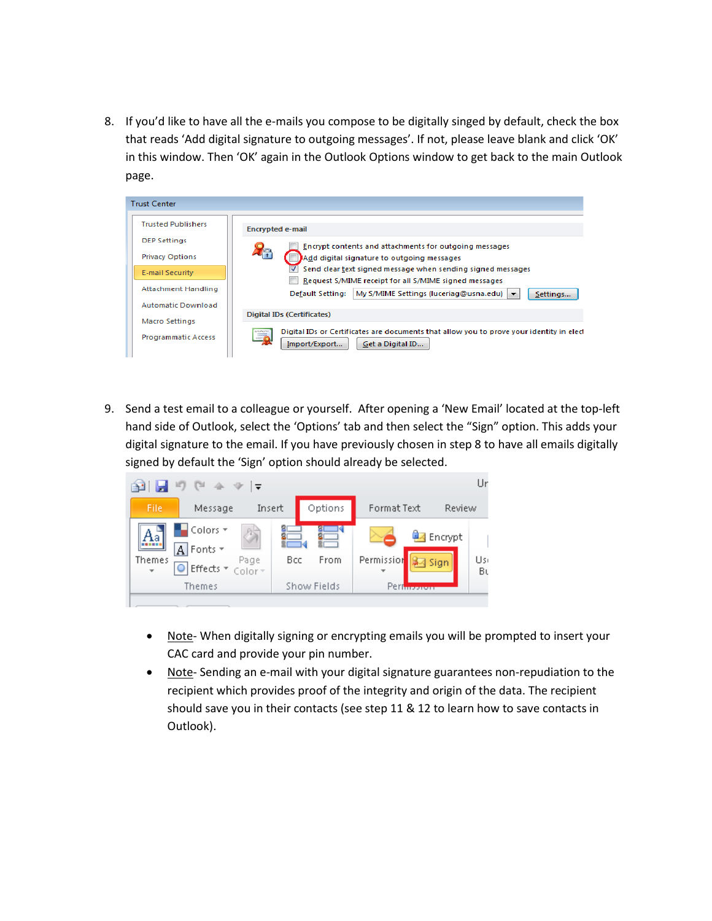8. If you'd like to have all the e-mails you compose to be digitally singed by default, check the box that reads 'Add digital signature to outgoing messages'. If not, please leave blank and click 'OK' in this window. Then 'OK' again in the Outlook Options window to get back to the main Outlook page.



9. Send a test email to a colleague or yourself. After opening a 'New Email' located at the top-left hand side of Outlook, select the 'Options' tab and then select the "Sign" option. This adds your digital signature to the email. If you have previously chosen in step 8 to have all emails digitally signed by default the 'Sign' option should already be selected.



- Note- When digitally signing or encrypting emails you will be prompted to insert your CAC card and provide your pin number.
- Note- Sending an e-mail with your digital signature guarantees non-repudiation to the recipient which provides proof of the integrity and origin of the data. The recipient should save you in their contacts (see step 11 & 12 to learn how to save contacts in Outlook).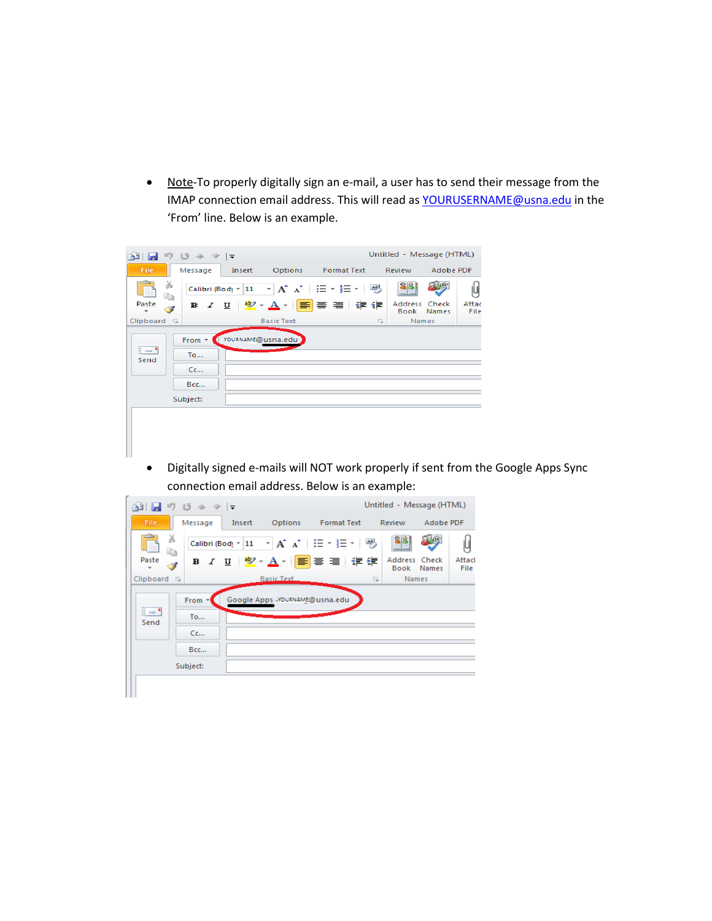• Note-To properly digitally sign an e-mail, a user has to send their message from the IMAP connection email address. This will read a[s YOURUSERNAME@usna.edu](mailto:YOURUSERNAME@usna.edu) in the 'From' line. Below is an example.



• Digitally signed e-mails will NOT work properly if sent from the Google Apps Sync connection email address. Below is an example:

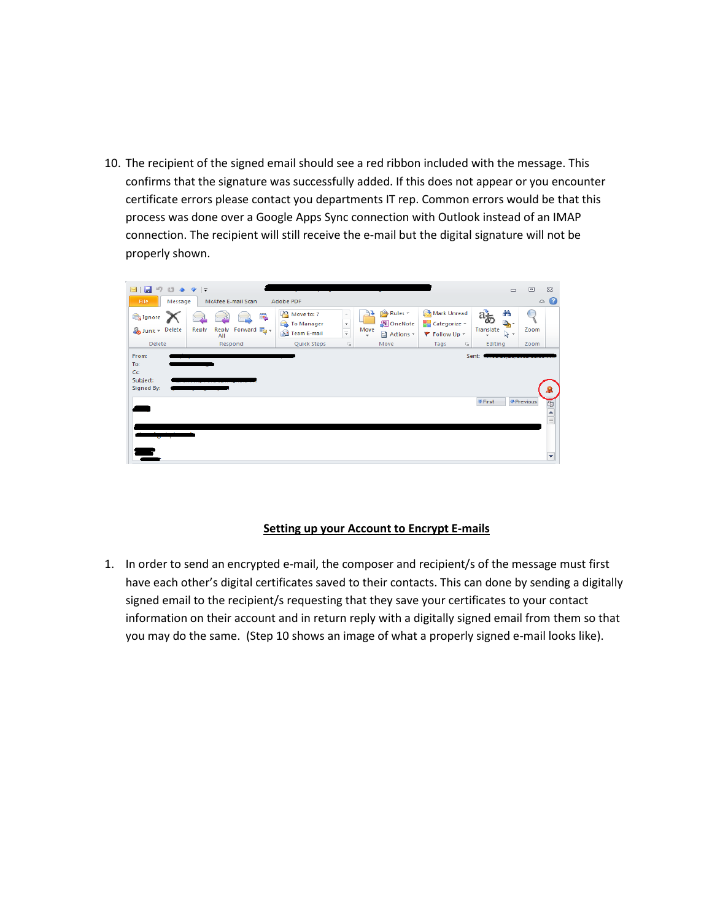10. The recipient of the signed email should see a red ribbon included with the message. This confirms that the signature was successfully added. If this does not appear or you encounter certificate errors please contact you departments IT rep. Common errors would be that this process was done over a Google Apps Sync connection with Outlook instead of an IMAP connection. The recipient will still receive the e-mail but the digital signature will not be properly shown.



## **Setting up your Account to Encrypt E-mails**

1. In order to send an encrypted e-mail, the composer and recipient/s of the message must first have each other's digital certificates saved to their contacts. This can done by sending a digitally signed email to the recipient/s requesting that they save your certificates to your contact information on their account and in return reply with a digitally signed email from them so that you may do the same. (Step 10 shows an image of what a properly signed e-mail looks like).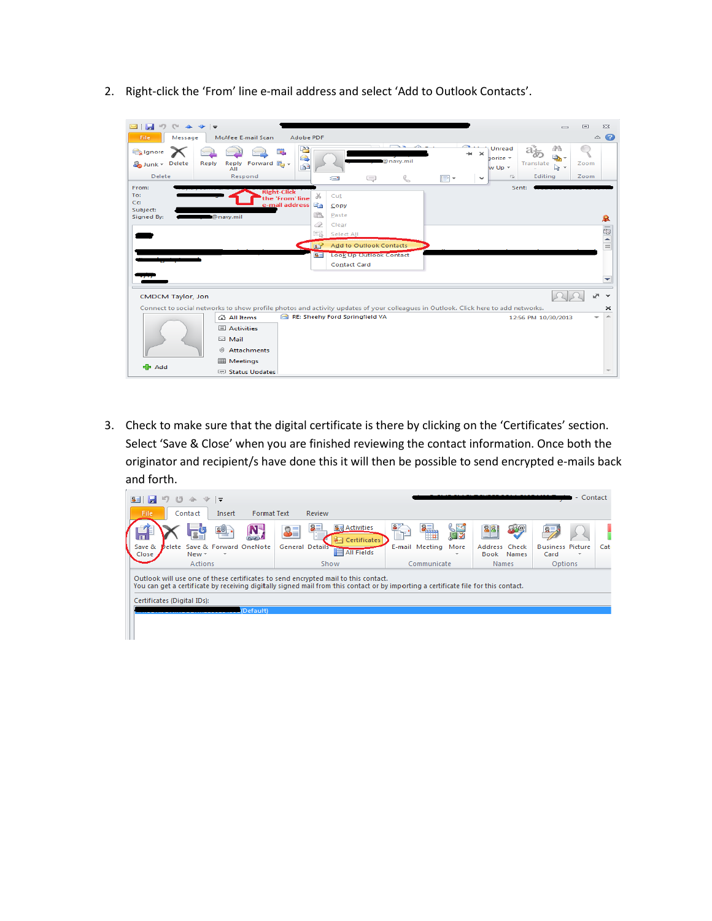2. Right-click the 'From' line e-mail address and select 'Add to Outlook Contacts'.

| Ы<br>$\bowtie$<br>Message<br><b>File</b>                 | $=$<br>McAfee E-mail Scan<br>Adobe PDF                                                | $\equiv$                                                                                                                                                                                   | $\Sigma$<br>$\Box$<br>ℯ<br>$\infty$ |
|----------------------------------------------------------|---------------------------------------------------------------------------------------|--------------------------------------------------------------------------------------------------------------------------------------------------------------------------------------------|-------------------------------------|
| Ignore<br>Junk - Delete<br>Reply<br><b>Delete</b>        | Ł<br>œ.<br>B<br>Forward $\frac{300}{200}$ +<br>Reply<br>£<br>AII<br>Respond           | æ<br>Unread<br>$\mathbf{\times}$<br>a,<br>horize $-$<br>@navy.mil<br>Translate<br>$W$ Up $\tau$<br>$2 -$<br>Editing<br>$\overline{\mathbb{F}_M}$<br>L<br>IB -<br>Œ<br>$-$<br>$\checkmark$  | Zoom<br>Zoom                        |
| From:<br>To:<br>C <sub>C</sub><br>Subject:<br>Signed By: | <b>Right-Click</b><br>the 'From' line<br>e-mail address<br>@navy.mil                  | Sent:<br>X<br>Cut<br>EE<br>Copy<br>B<br>Paste<br>Q<br>Clear<br>第<br>Select All                                                                                                             | 皋                                   |
|                                                          |                                                                                       | 屋子<br><b>Add to Outlook Contacts</b><br><b>Look Up Outlook Contact</b><br>$S =$<br><b>Contact Card</b>                                                                                     | $\overline{\phantom{0}}$            |
| CMDCM Taylor, Jon                                        | All Items                                                                             | Connect to social networks to show profile photos and activity updates of your colleagues in Outlook. Click here to add networks.<br>RE: Sheehy Ford Springfield VA<br>12:56 PM 10/30/2013 | $\checkmark$<br>×                   |
|                                                          | $\mathbf{E}$ Activities<br>$\boxtimes$ Mail<br>U<br>Attachments<br><b>EE Meetings</b> |                                                                                                                                                                                            |                                     |
| de Add                                                   | <b>El Status Undates</b>                                                              |                                                                                                                                                                                            |                                     |

3. Check to make sure that the digital certificate is there by clicking on the 'Certificates' section. Select 'Save & Close' when you are finished reviewing the contact information. Once both the originator and recipient/s have done this it will then be possible to send encrypted e-mails back and forth.

| $S = H \cup \mathcal{A}$ and $\mathcal{A} = \mathcal{A}$                                                                                                                                                                  |                                                       |                        |                             | - Contact                                                   |     |
|---------------------------------------------------------------------------------------------------------------------------------------------------------------------------------------------------------------------------|-------------------------------------------------------|------------------------|-----------------------------|-------------------------------------------------------------|-----|
| File<br>Contact<br>Insert<br><b>Format Text</b>                                                                                                                                                                           | Review                                                |                        |                             |                                                             |     |
| 譻                                                                                                                                                                                                                         | <b>8</b> Activities<br>8E)<br><b>AZI Certificates</b> | 81.<br>S KO<br>ГP,     | $\mathbb{R}^n$<br>88        |                                                             |     |
| Delete Save & Forward OneNote<br>Save &<br>Close<br>$New -$<br>×                                                                                                                                                          | <b>General Details</b><br><b>All Fields</b>           | E-mail Meeting<br>More | Address Check<br>Book Names | <b>Business Picture</b><br>Card<br>$\overline{\phantom{a}}$ | Cat |
| Actions                                                                                                                                                                                                                   | Show                                                  | Communicate            | <b>Names</b>                | Options                                                     |     |
| Outlook will use one of these certificates to send encrypted mail to this contact.<br>You can get a certificate by receiving digitally signed mail from this contact or by importing a certificate file for this contact. |                                                       |                        |                             |                                                             |     |
| Certificates (Digital IDs):                                                                                                                                                                                               |                                                       |                        |                             |                                                             |     |
| (Default)                                                                                                                                                                                                                 |                                                       |                        |                             |                                                             |     |
|                                                                                                                                                                                                                           |                                                       |                        |                             |                                                             |     |
|                                                                                                                                                                                                                           |                                                       |                        |                             |                                                             |     |